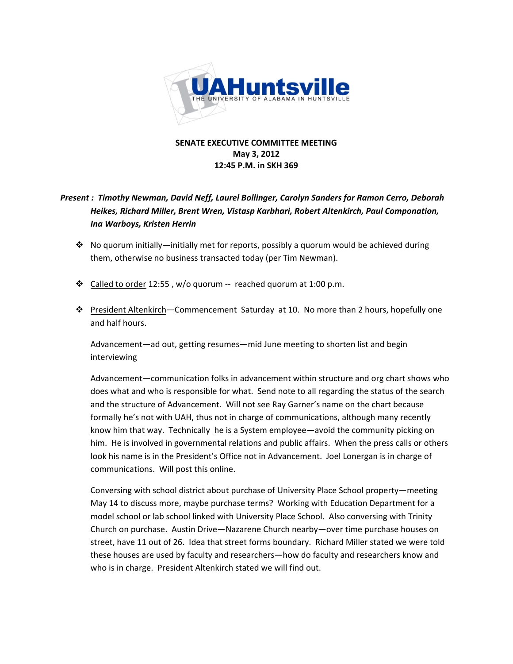

### **SENATE EXECUTIVE COMMITTEE MEETING May 3, 2012 12:45 P.M. in SKH 369**

### *Present : Timothy Newman, David Neff, Laurel Bollinger, Carolyn Sanders for Ramon Cerro, Deborah Heikes, Richard Miller, Brent Wren, Vistasp Karbhari, Robert Altenkirch, Paul Componation, Ina Warboys, Kristen Herrin*

- $\cdot$  No quorum initially—initially met for reports, possibly a quorum would be achieved during them, otherwise no business transacted today (per Tim Newman).
- ← Called to order 12:55, w/o quorum -- reached quorum at 1:00 p.m.
- President Altenkirch—Commencement Saturday at 10. No more than 2 hours, hopefully one and half hours.

Advancement—ad out, getting resumes—mid June meeting to shorten list and begin interviewing

Advancement—communication folks in advancement within structure and org chart shows who does what and who is responsible for what. Send note to all regarding the status of the search and the structure of Advancement. Will not see Ray Garner's name on the chart because formally he's not with UAH, thus not in charge of communications, although many recently know him that way. Technically he is a System employee—avoid the community picking on him. He is involved in governmental relations and public affairs. When the press calls or others look his name is in the President's Office not in Advancement. Joel Lonergan is in charge of communications. Will post this online.

Conversing with school district about purchase of University Place School property—meeting May 14 to discuss more, maybe purchase terms? Working with Education Department for a model school or lab school linked with University Place School. Also conversing with Trinity Church on purchase. Austin Drive—Nazarene Church nearby—over time purchase houses on street, have 11 out of 26. Idea that street forms boundary. Richard Miller stated we were told these houses are used by faculty and researchers—how do faculty and researchers know and who is in charge. President Altenkirch stated we will find out.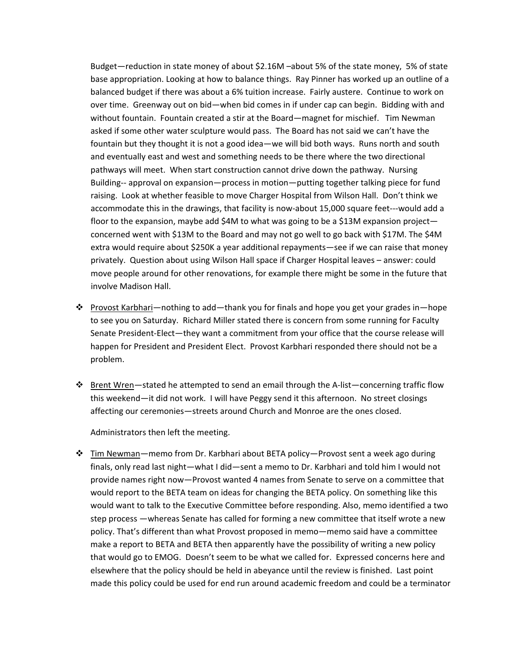Budget—reduction in state money of about \$2.16M –about 5% of the state money, 5% of state base appropriation. Looking at how to balance things. Ray Pinner has worked up an outline of a balanced budget if there was about a 6% tuition increase. Fairly austere. Continue to work on over time. Greenway out on bid—when bid comes in if under cap can begin. Bidding with and without fountain. Fountain created a stir at the Board—magnet for mischief. Tim Newman asked if some other water sculpture would pass. The Board has not said we can't have the fountain but they thought it is not a good idea—we will bid both ways. Runs north and south and eventually east and west and something needs to be there where the two directional pathways will meet. When start construction cannot drive down the pathway. Nursing Building‐‐ approval on expansion—process in motion—putting together talking piece for fund raising. Look at whether feasible to move Charger Hospital from Wilson Hall. Don't think we accommodate this in the drawings, that facility is now‐about 15,000 square feet‐‐‐would add a floor to the expansion, maybe add \$4M to what was going to be a \$13M expansion project concerned went with \$13M to the Board and may not go well to go back with \$17M. The \$4M extra would require about \$250K a year additional repayments—see if we can raise that money privately. Question about using Wilson Hall space if Charger Hospital leaves – answer: could move people around for other renovations, for example there might be some in the future that involve Madison Hall.

- \* Provost Karbhari—nothing to add—thank you for finals and hope you get your grades in—hope to see you on Saturday. Richard Miller stated there is concern from some running for Faculty Senate President‐Elect—they want a commitment from your office that the course release will happen for President and President Elect. Provost Karbhari responded there should not be a problem.
- Brent Wren—stated he attempted to send an email through the A‐list—concerning traffic flow this weekend—it did not work. I will have Peggy send it this afternoon. No street closings affecting our ceremonies—streets around Church and Monroe are the ones closed.

Administrators then left the meeting.

 $\div$  Tim Newman—memo from Dr. Karbhari about BETA policy—Provost sent a week ago during finals, only read last night—what I did—sent a memo to Dr. Karbhari and told him I would not provide names right now—Provost wanted 4 names from Senate to serve on a committee that would report to the BETA team on ideas for changing the BETA policy. On something like this would want to talk to the Executive Committee before responding. Also, memo identified a two step process —whereas Senate has called for forming a new committee that itself wrote a new policy. That's different than what Provost proposed in memo—memo said have a committee make a report to BETA and BETA then apparently have the possibility of writing a new policy that would go to EMOG. Doesn't seem to be what we called for. Expressed concerns here and elsewhere that the policy should be held in abeyance until the review is finished. Last point made this policy could be used for end run around academic freedom and could be a terminator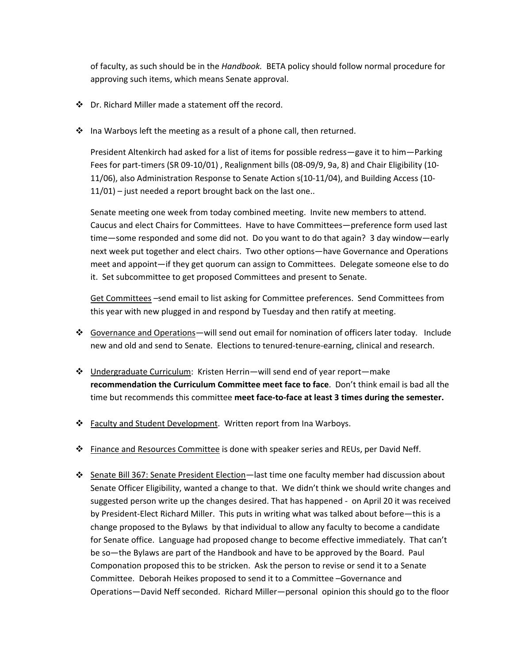of faculty, as such should be in the *Handbook.* BETA policy should follow normal procedure for approving such items, which means Senate approval.

- Dr. Richard Miller made a statement off the record.
- Ina Warboys left the meeting as a result of a phone call, then returned.

President Altenkirch had asked for a list of items for possible redress—gave it to him—Parking Fees for part‐timers (SR 09‐10/01) , Realignment bills (08‐09/9, 9a, 8) and Chair Eligibility (10‐ 11/06), also Administration Response to Senate Action s(10‐11/04), and Building Access (10‐ 11/01) – just needed a report brought back on the last one..

Senate meeting one week from today combined meeting. Invite new members to attend. Caucus and elect Chairs for Committees. Have to have Committees—preference form used last time—some responded and some did not. Do you want to do that again? 3 day window—early next week put together and elect chairs. Two other options—have Governance and Operations meet and appoint—if they get quorum can assign to Committees. Delegate someone else to do it. Set subcommittee to get proposed Committees and present to Senate.

Get Committees –send email to list asking for Committee preferences. Send Committees from this year with new plugged in and respond by Tuesday and then ratify at meeting.

- Governance and Operations—will send out email for nomination of officers later today. Include new and old and send to Senate. Elections to tenured‐tenure‐earning, clinical and research.
- $\div$  Undergraduate Curriculum: Kristen Herrin—will send end of year report—make **recommendation the Curriculum Committee meet face to face**. Don't think email is bad all the time but recommends this committee **meet face‐to‐face at least 3 times during the semester.**
- \* Faculty and Student Development. Written report from Ina Warboys.
- $\clubsuit$  Finance and Resources Committee is done with speaker series and REUs, per David Neff.
- Senate Bill 367: Senate President Election—last time one faculty member had discussion about Senate Officer Eligibility, wanted a change to that. We didn't think we should write changes and suggested person write up the changes desired. That has happened - on April 20 it was received by President‐Elect Richard Miller. This puts in writing what was talked about before—this is a change proposed to the Bylaws by that individual to allow any faculty to become a candidate for Senate office. Language had proposed change to become effective immediately. That can't be so—the Bylaws are part of the Handbook and have to be approved by the Board. Paul Componation proposed this to be stricken. Ask the person to revise or send it to a Senate Committee. Deborah Heikes proposed to send it to a Committee –Governance and Operations—David Neff seconded. Richard Miller—personal opinion this should go to the floor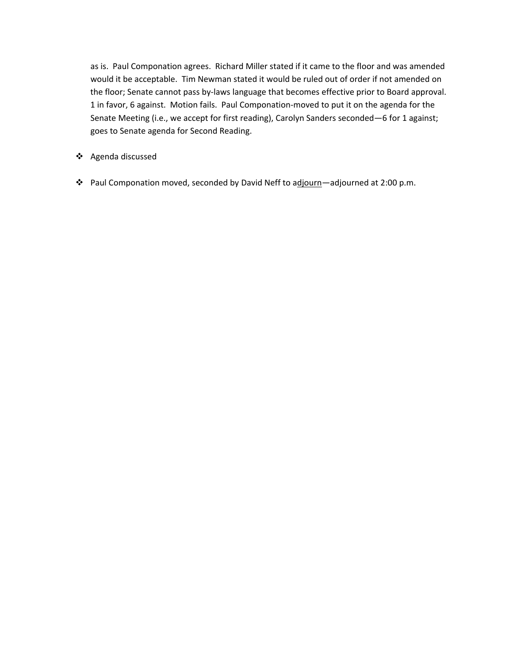as is. Paul Componation agrees. Richard Miller stated if it came to the floor and was amended would it be acceptable. Tim Newman stated it would be ruled out of order if not amended on the floor; Senate cannot pass by‐laws language that becomes effective prior to Board approval. 1 in favor, 6 against. Motion fails. Paul Componation‐moved to put it on the agenda for the Senate Meeting (i.e., we accept for first reading), Carolyn Sanders seconded—6 for 1 against; goes to Senate agenda for Second Reading.

- Agenda discussed
- Paul Componation moved, seconded by David Neff to adjourn—adjourned at 2:00 p.m.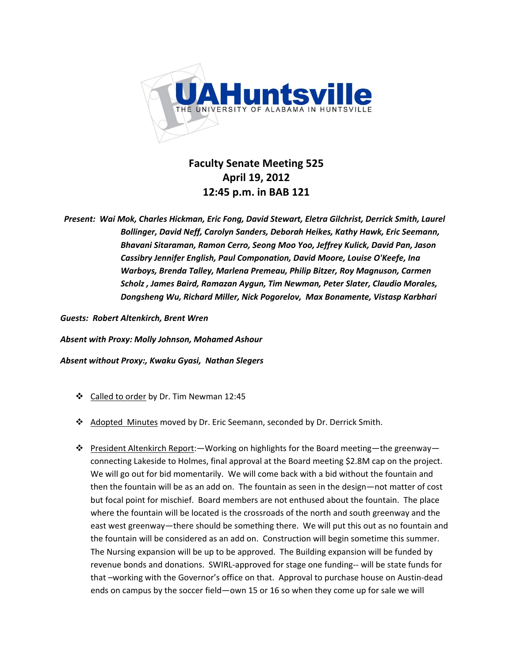

### **Faculty Senate Meeting 525 April 19, 2012 12:45 p.m. in BAB 121**

*Present: Wai Mok, Charles Hickman, Eric Fong, David Stewart, Eletra Gilchrist, Derrick Smith, Laurel Bollinger, David Neff, Carolyn Sanders, Deborah Heikes, Kathy Hawk, Eric Seemann, Bhavani Sitaraman, Ramon Cerro, Seong Moo Yoo, Jeffrey Kulick, David Pan, Jason Cassibry Jennifer English, Paul Componation, David Moore, Louise O'Keefe, Ina Warboys, Brenda Talley, Marlena Premeau, Philip Bitzer, Roy Magnuson, Carmen Scholz , James Baird, Ramazan Aygun, Tim Newman, Peter Slater, Claudio Morales, Dongsheng Wu, Richard Miller, Nick Pogorelov, Max Bonamente, Vistasp Karbhari*

*Guests: Robert Altenkirch, Brent Wren*

*Absent with Proxy: Molly Johnson, Mohamed Ashour* 

*Absent without Proxy:, Kwaku Gyasi, Nathan Slegers* 

- ❖ Called to order by Dr. Tim Newman 12:45
- Adopted Minutes moved by Dr. Eric Seemann, seconded by Dr. Derrick Smith.
- President Altenkirch Report:—Working on highlights for the Board meeting—the greenway connecting Lakeside to Holmes, final approval at the Board meeting \$2.8M cap on the project. We will go out for bid momentarily. We will come back with a bid without the fountain and then the fountain will be as an add on. The fountain as seen in the design—not matter of cost but focal point for mischief. Board members are not enthused about the fountain. The place where the fountain will be located is the crossroads of the north and south greenway and the east west greenway—there should be something there. We will put this out as no fountain and the fountain will be considered as an add on. Construction will begin sometime this summer. The Nursing expansion will be up to be approved. The Building expansion will be funded by revenue bonds and donations. SWIRL‐approved for stage one funding‐‐ will be state funds for that –working with the Governor's office on that. Approval to purchase house on Austin‐dead ends on campus by the soccer field—own 15 or 16 so when they come up for sale we will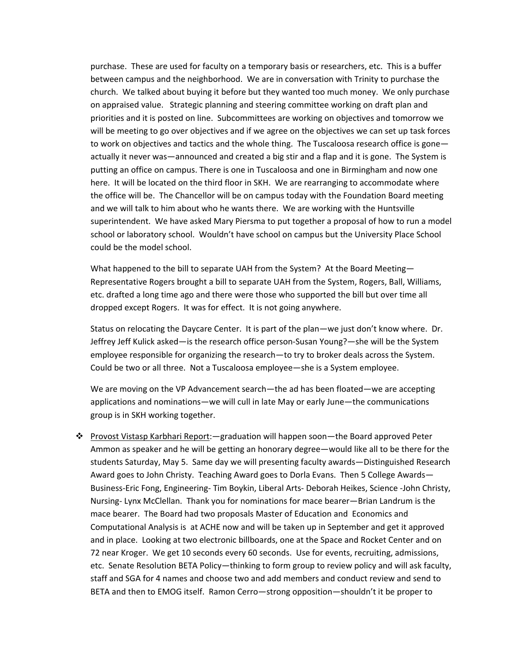purchase. These are used for faculty on a temporary basis or researchers, etc. This is a buffer between campus and the neighborhood. We are in conversation with Trinity to purchase the church. We talked about buying it before but they wanted too much money. We only purchase on appraised value. Strategic planning and steering committee working on draft plan and priorities and it is posted on line. Subcommittees are working on objectives and tomorrow we will be meeting to go over objectives and if we agree on the objectives we can set up task forces to work on objectives and tactics and the whole thing. The Tuscaloosa research office is gone actually it never was—announced and created a big stir and a flap and it is gone. The System is putting an office on campus. There is one in Tuscaloosa and one in Birmingham and now one here. It will be located on the third floor in SKH. We are rearranging to accommodate where the office will be. The Chancellor will be on campus today with the Foundation Board meeting and we will talk to him about who he wants there. We are working with the Huntsville superintendent. We have asked Mary Piersma to put together a proposal of how to run a model school or laboratory school. Wouldn't have school on campus but the University Place School could be the model school.

What happened to the bill to separate UAH from the System? At the Board Meeting-Representative Rogers brought a bill to separate UAH from the System, Rogers, Ball, Williams, etc. drafted a long time ago and there were those who supported the bill but over time all dropped except Rogers. It was for effect. It is not going anywhere.

Status on relocating the Daycare Center. It is part of the plan—we just don't know where. Dr. Jeffrey Jeff Kulick asked—is the research office person‐Susan Young?—she will be the System employee responsible for organizing the research—to try to broker deals across the System. Could be two or all three. Not a Tuscaloosa employee—she is a System employee.

We are moving on the VP Advancement search—the ad has been floated—we are accepting applications and nominations—we will cull in late May or early June—the communications group is in SKH working together.

\* Provost Vistasp Karbhari Report: - graduation will happen soon - the Board approved Peter Ammon as speaker and he will be getting an honorary degree—would like all to be there for the students Saturday, May 5. Same day we will presenting faculty awards—Distinguished Research Award goes to John Christy. Teaching Award goes to Dorla Evans. Then 5 College Awards— Business‐Eric Fong, Engineering‐ Tim Boykin, Liberal Arts‐ Deborah Heikes, Science ‐John Christy, Nursing‐ Lynx McClellan. Thank you for nominations for mace bearer—Brian Landrum is the mace bearer. The Board had two proposals Master of Education and Economics and Computational Analysis is at ACHE now and will be taken up in September and get it approved and in place. Looking at two electronic billboards, one at the Space and Rocket Center and on 72 near Kroger. We get 10 seconds every 60 seconds. Use for events, recruiting, admissions, etc. Senate Resolution BETA Policy—thinking to form group to review policy and will ask faculty, staff and SGA for 4 names and choose two and add members and conduct review and send to BETA and then to EMOG itself. Ramon Cerro—strong opposition—shouldn't it be proper to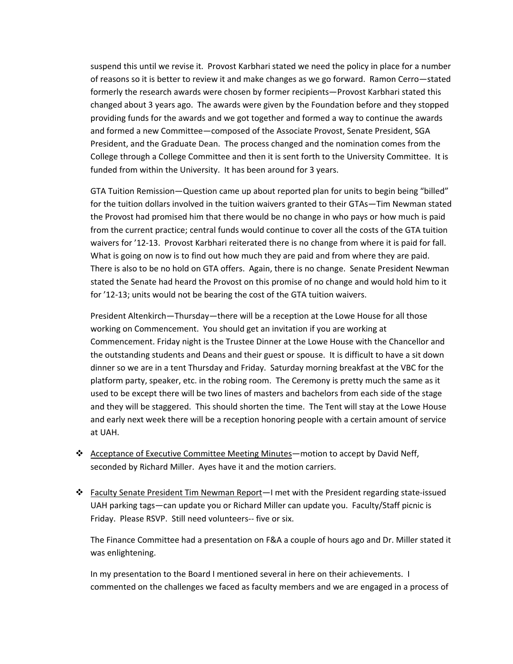suspend this until we revise it. Provost Karbhari stated we need the policy in place for a number of reasons so it is better to review it and make changes as we go forward. Ramon Cerro—stated formerly the research awards were chosen by former recipients—Provost Karbhari stated this changed about 3 years ago. The awards were given by the Foundation before and they stopped providing funds for the awards and we got together and formed a way to continue the awards and formed a new Committee—composed of the Associate Provost, Senate President, SGA President, and the Graduate Dean. The process changed and the nomination comes from the College through a College Committee and then it is sent forth to the University Committee. It is funded from within the University. It has been around for 3 years.

GTA Tuition Remission—Question came up about reported plan for units to begin being "billed" for the tuition dollars involved in the tuition waivers granted to their GTAs—Tim Newman stated the Provost had promised him that there would be no change in who pays or how much is paid from the current practice; central funds would continue to cover all the costs of the GTA tuition waivers for '12‐13. Provost Karbhari reiterated there is no change from where it is paid for fall. What is going on now is to find out how much they are paid and from where they are paid. There is also to be no hold on GTA offers. Again, there is no change. Senate President Newman stated the Senate had heard the Provost on this promise of no change and would hold him to it for '12-13; units would not be bearing the cost of the GTA tuition waivers.

President Altenkirch—Thursday—there will be a reception at the Lowe House for all those working on Commencement. You should get an invitation if you are working at Commencement. Friday night is the Trustee Dinner at the Lowe House with the Chancellor and the outstanding students and Deans and their guest or spouse. It is difficult to have a sit down dinner so we are in a tent Thursday and Friday. Saturday morning breakfast at the VBC for the platform party, speaker, etc. in the robing room. The Ceremony is pretty much the same as it used to be except there will be two lines of masters and bachelors from each side of the stage and they will be staggered. This should shorten the time. The Tent will stay at the Lowe House and early next week there will be a reception honoring people with a certain amount of service at UAH.

- Acceptance of Executive Committee Meeting Minutes—motion to accept by David Neff, seconded by Richard Miller. Ayes have it and the motion carriers.
- Faculty Senate President Tim Newman Report—I met with the President regarding state‐issued UAH parking tags—can update you or Richard Miller can update you. Faculty/Staff picnic is Friday. Please RSVP. Still need volunteers‐‐ five or six.

The Finance Committee had a presentation on F&A a couple of hours ago and Dr. Miller stated it was enlightening.

In my presentation to the Board I mentioned several in here on their achievements. I commented on the challenges we faced as faculty members and we are engaged in a process of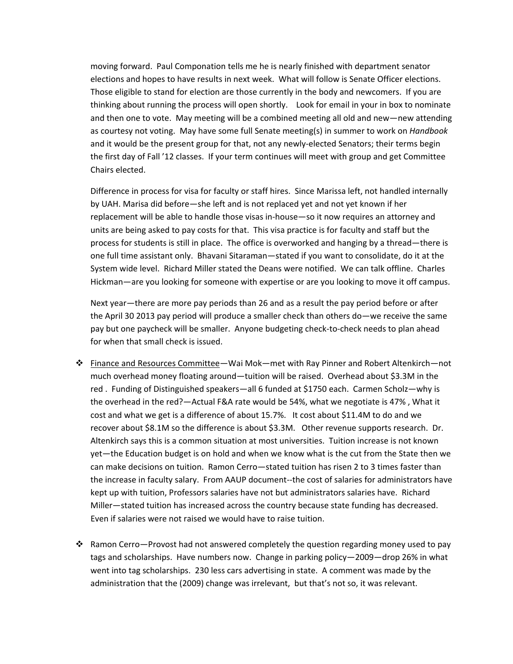moving forward. Paul Componation tells me he is nearly finished with department senator elections and hopes to have results in next week. What will follow is Senate Officer elections. Those eligible to stand for election are those currently in the body and newcomers. If you are thinking about running the process will open shortly. Look for email in your in box to nominate and then one to vote. May meeting will be a combined meeting all old and new—new attending as courtesy not voting. May have some full Senate meeting(s) in summer to work on *Handbook* and it would be the present group for that, not any newly-elected Senators; their terms begin the first day of Fall '12 classes. If your term continues will meet with group and get Committee Chairs elected.

Difference in process for visa for faculty or staff hires. Since Marissa left, not handled internally by UAH. Marisa did before—she left and is not replaced yet and not yet known if her replacement will be able to handle those visas in-house—so it now requires an attorney and units are being asked to pay costs for that. This visa practice is for faculty and staff but the process for students is still in place. The office is overworked and hanging by a thread—there is one full time assistant only. Bhavani Sitaraman—stated if you want to consolidate, do it at the System wide level. Richard Miller stated the Deans were notified. We can talk offline. Charles Hickman—are you looking for someone with expertise or are you looking to move it off campus.

Next year—there are more pay periods than 26 and as a result the pay period before or after the April 30 2013 pay period will produce a smaller check than others do—we receive the same pay but one paycheck will be smaller. Anyone budgeting check‐to‐check needs to plan ahead for when that small check is issued.

- Finance and Resources Committee—Wai Mok—met with Ray Pinner and Robert Altenkirch—not much overhead money floating around—tuition will be raised. Overhead about \$3.3M in the red . Funding of Distinguished speakers—all 6 funded at \$1750 each. Carmen Scholz—why is the overhead in the red?—Actual F&A rate would be 54%, what we negotiate is 47% , What it cost and what we get is a difference of about 15.7%. It cost about \$11.4M to do and we recover about \$8.1M so the difference is about \$3.3M. Other revenue supports research. Dr. Altenkirch says this is a common situation at most universities. Tuition increase is not known yet—the Education budget is on hold and when we know what is the cut from the State then we can make decisions on tuition. Ramon Cerro—stated tuition has risen 2 to 3 times faster than the increase in faculty salary. From AAUP document‐‐the cost of salaries for administrators have kept up with tuition, Professors salaries have not but administrators salaries have. Richard Miller—stated tuition has increased across the country because state funding has decreased. Even if salaries were not raised we would have to raise tuition.
- $\cdot \cdot$  Ramon Cerro—Provost had not answered completely the question regarding money used to pay tags and scholarships. Have numbers now. Change in parking policy—2009—drop 26% in what went into tag scholarships. 230 less cars advertising in state. A comment was made by the administration that the (2009) change was irrelevant, but that's not so, it was relevant.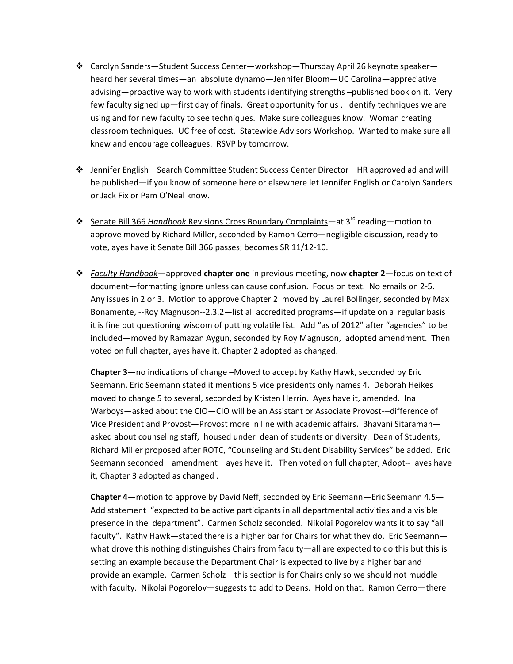- Carolyn Sanders—Student Success Center—workshop—Thursday April 26 keynote speaker heard her several times—an absolute dynamo—Jennifer Bloom—UC Carolina—appreciative advising—proactive way to work with students identifying strengths –published book on it. Very few faculty signed up—first day of finals. Great opportunity for us . Identify techniques we are using and for new faculty to see techniques. Make sure colleagues know. Woman creating classroom techniques. UC free of cost. Statewide Advisors Workshop. Wanted to make sure all knew and encourage colleagues. RSVP by tomorrow.
- Jennifer English—Search Committee Student Success Center Director—HR approved ad and will be published—if you know of someone here or elsewhere let Jennifer English or Carolyn Sanders or Jack Fix or Pam O'Neal know.
- Senate Bill 366 *Handbook* Revisions Cross Boundary Complaints—at 3rd reading—motion to approve moved by Richard Miller, seconded by Ramon Cerro—negligible discussion, ready to vote, ayes have it Senate Bill 366 passes; becomes SR 11/12‐10.
- *Faculty Handbook*—approved **chapter one** in previous meeting, now **chapter 2**—focus on text of document—formatting ignore unless can cause confusion. Focus on text. No emails on 2‐5. Any issues in 2 or 3. Motion to approve Chapter 2 moved by Laurel Bollinger, seconded by Max Bonamente, ‐‐Roy Magnuson‐‐2.3.2—list all accredited programs—if update on a regular basis it is fine but questioning wisdom of putting volatile list. Add "as of 2012" after "agencies" to be included—moved by Ramazan Aygun, seconded by Roy Magnuson, adopted amendment. Then voted on full chapter, ayes have it, Chapter 2 adopted as changed.

**Chapter 3**—no indications of change –Moved to accept by Kathy Hawk, seconded by Eric Seemann, Eric Seemann stated it mentions 5 vice presidents only names 4. Deborah Heikes moved to change 5 to several, seconded by Kristen Herrin. Ayes have it, amended. Ina Warboys—asked about the CIO—CIO will be an Assistant or Associate Provost---difference of Vice President and Provost—Provost more in line with academic affairs. Bhavani Sitaraman asked about counseling staff, housed under dean of students or diversity. Dean of Students, Richard Miller proposed after ROTC, "Counseling and Student Disability Services" be added. Eric Seemann seconded—amendment—ayes have it. Then voted on full chapter, Adopt-- ayes have it, Chapter 3 adopted as changed .

**Chapter 4**—motion to approve by David Neff, seconded by Eric Seemann—Eric Seemann 4.5— Add statement "expected to be active participants in all departmental activities and a visible presence in the department". Carmen Scholz seconded. Nikolai Pogorelov wants it to say "all faculty". Kathy Hawk—stated there is a higher bar for Chairs for what they do. Eric Seemann what drove this nothing distinguishes Chairs from faculty—all are expected to do this but this is setting an example because the Department Chair is expected to live by a higher bar and provide an example. Carmen Scholz—this section is for Chairs only so we should not muddle with faculty. Nikolai Pogorelov—suggests to add to Deans. Hold on that. Ramon Cerro—there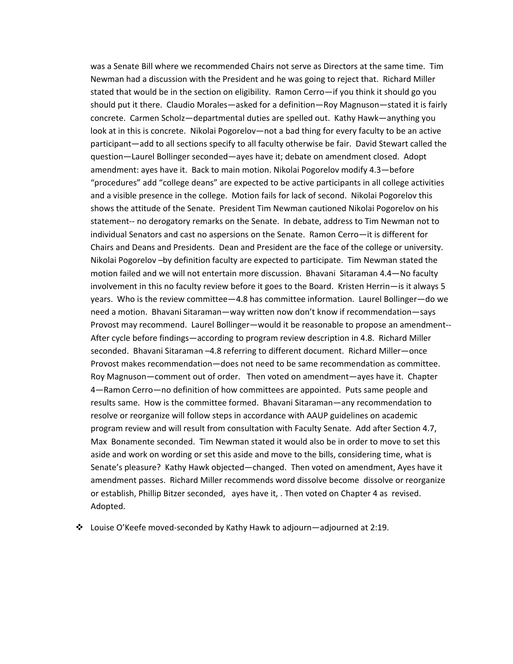was a Senate Bill where we recommended Chairs not serve as Directors at the same time. Tim Newman had a discussion with the President and he was going to reject that. Richard Miller stated that would be in the section on eligibility. Ramon Cerro—if you think it should go you should put it there. Claudio Morales—asked for a definition—Roy Magnuson—stated it is fairly concrete. Carmen Scholz—departmental duties are spelled out. Kathy Hawk—anything you look at in this is concrete. Nikolai Pogorelov—not a bad thing for every faculty to be an active participant—add to all sections specify to all faculty otherwise be fair. David Stewart called the question—Laurel Bollinger seconded—ayes have it; debate on amendment closed. Adopt amendment: ayes have it. Back to main motion. Nikolai Pogorelov modify 4.3—before "procedures" add "college deans" are expected to be active participants in all college activities and a visible presence in the college. Motion fails for lack of second. Nikolai Pogorelov this shows the attitude of the Senate. President Tim Newman cautioned Nikolai Pogorelov on his statement-- no derogatory remarks on the Senate. In debate, address to Tim Newman not to individual Senators and cast no aspersions on the Senate. Ramon Cerro—it is different for Chairs and Deans and Presidents. Dean and President are the face of the college or university. Nikolai Pogorelov –by definition faculty are expected to participate. Tim Newman stated the motion failed and we will not entertain more discussion. Bhavani Sitaraman 4.4—No faculty involvement in this no faculty review before it goes to the Board. Kristen Herrin—is it always 5 years. Who is the review committee—4.8 has committee information. Laurel Bollinger—do we need a motion. Bhavani Sitaraman—way written now don't know if recommendation—says Provost may recommend. Laurel Bollinger—would it be reasonable to propose an amendment‐‐ After cycle before findings—according to program review description in 4.8. Richard Miller seconded. Bhavani Sitaraman –4.8 referring to different document. Richard Miller—once Provost makes recommendation—does not need to be same recommendation as committee. Roy Magnuson—comment out of order. Then voted on amendment—ayes have it. Chapter 4—Ramon Cerro—no definition of how committees are appointed. Puts same people and results same. How is the committee formed. Bhavani Sitaraman—any recommendation to resolve or reorganize will follow steps in accordance with AAUP guidelines on academic program review and will result from consultation with Faculty Senate. Add after Section 4.7, Max Bonamente seconded. Tim Newman stated it would also be in order to move to set this aside and work on wording or set this aside and move to the bills, considering time, what is Senate's pleasure? Kathy Hawk objected—changed. Then voted on amendment, Ayes have it amendment passes. Richard Miller recommends word dissolve become dissolve or reorganize or establish, Phillip Bitzer seconded, ayes have it, . Then voted on Chapter 4 as revised. Adopted.

Louise O'Keefe moved‐seconded by Kathy Hawk to adjourn—adjourned at 2:19.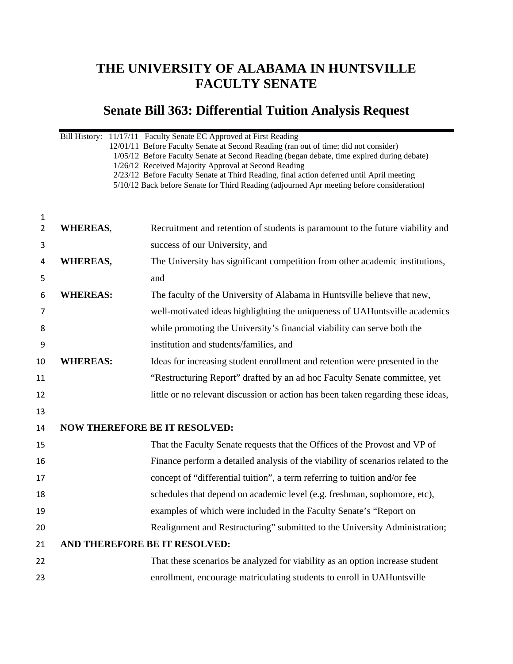## **THE UNIVERSITY OF ALABAMA IN HUNTSVILLE FACULTY SENATE**

# **Senate Bill 363: Differential Tuition Analysis Request**

|                     | Bill History: 11/17/11 Faculty Senate EC Approved at First Reading<br>12/01/11 Before Faculty Senate at Second Reading (ran out of time; did not consider)<br>1/05/12 Before Faculty Senate at Second Reading (began debate, time expired during debate)<br>1/26/12 Received Majority Approval at Second Reading<br>2/23/12 Before Faculty Senate at Third Reading, final action deferred until April meeting<br>5/10/12 Back before Senate for Third Reading (adjourned Apr meeting before consideration) |                                                                                  |  |
|---------------------|------------------------------------------------------------------------------------------------------------------------------------------------------------------------------------------------------------------------------------------------------------------------------------------------------------------------------------------------------------------------------------------------------------------------------------------------------------------------------------------------------------|----------------------------------------------------------------------------------|--|
| 1<br>$\overline{2}$ | <b>WHEREAS,</b>                                                                                                                                                                                                                                                                                                                                                                                                                                                                                            | Recruitment and retention of students is paramount to the future viability and   |  |
| 3                   |                                                                                                                                                                                                                                                                                                                                                                                                                                                                                                            | success of our University, and                                                   |  |
| 4                   | <b>WHEREAS,</b>                                                                                                                                                                                                                                                                                                                                                                                                                                                                                            | The University has significant competition from other academic institutions,     |  |
| 5                   |                                                                                                                                                                                                                                                                                                                                                                                                                                                                                                            | and                                                                              |  |
| 6                   | <b>WHEREAS:</b>                                                                                                                                                                                                                                                                                                                                                                                                                                                                                            | The faculty of the University of Alabama in Huntsville believe that new,         |  |
| 7                   |                                                                                                                                                                                                                                                                                                                                                                                                                                                                                                            | well-motivated ideas highlighting the uniqueness of UAHuntsville academics       |  |
| 8                   |                                                                                                                                                                                                                                                                                                                                                                                                                                                                                                            | while promoting the University's financial viability can serve both the          |  |
| 9                   |                                                                                                                                                                                                                                                                                                                                                                                                                                                                                                            | institution and students/families, and                                           |  |
| 10                  | <b>WHEREAS:</b>                                                                                                                                                                                                                                                                                                                                                                                                                                                                                            | Ideas for increasing student enrollment and retention were presented in the      |  |
| 11                  |                                                                                                                                                                                                                                                                                                                                                                                                                                                                                                            | "Restructuring Report" drafted by an ad hoc Faculty Senate committee, yet        |  |
| 12                  |                                                                                                                                                                                                                                                                                                                                                                                                                                                                                                            | little or no relevant discussion or action has been taken regarding these ideas, |  |
| 13                  |                                                                                                                                                                                                                                                                                                                                                                                                                                                                                                            |                                                                                  |  |
| 14                  |                                                                                                                                                                                                                                                                                                                                                                                                                                                                                                            | <b>NOW THEREFORE BE IT RESOLVED:</b>                                             |  |
| 15                  |                                                                                                                                                                                                                                                                                                                                                                                                                                                                                                            | That the Faculty Senate requests that the Offices of the Provost and VP of       |  |
| 16                  |                                                                                                                                                                                                                                                                                                                                                                                                                                                                                                            | Finance perform a detailed analysis of the viability of scenarios related to the |  |
| 17                  |                                                                                                                                                                                                                                                                                                                                                                                                                                                                                                            | concept of "differential tuition", a term referring to tuition and/or fee        |  |
| 18                  |                                                                                                                                                                                                                                                                                                                                                                                                                                                                                                            | schedules that depend on academic level (e.g. freshman, sophomore, etc),         |  |
| 19                  |                                                                                                                                                                                                                                                                                                                                                                                                                                                                                                            | examples of which were included in the Faculty Senate's "Report on               |  |
| 20                  |                                                                                                                                                                                                                                                                                                                                                                                                                                                                                                            | Realignment and Restructuring" submitted to the University Administration;       |  |
| 21                  | AND THEREFORE BE IT RESOLVED:                                                                                                                                                                                                                                                                                                                                                                                                                                                                              |                                                                                  |  |
| 22                  |                                                                                                                                                                                                                                                                                                                                                                                                                                                                                                            | That these scenarios be analyzed for viability as an option increase student     |  |
| 23                  |                                                                                                                                                                                                                                                                                                                                                                                                                                                                                                            | enrollment, encourage matriculating students to enroll in UAHuntsville           |  |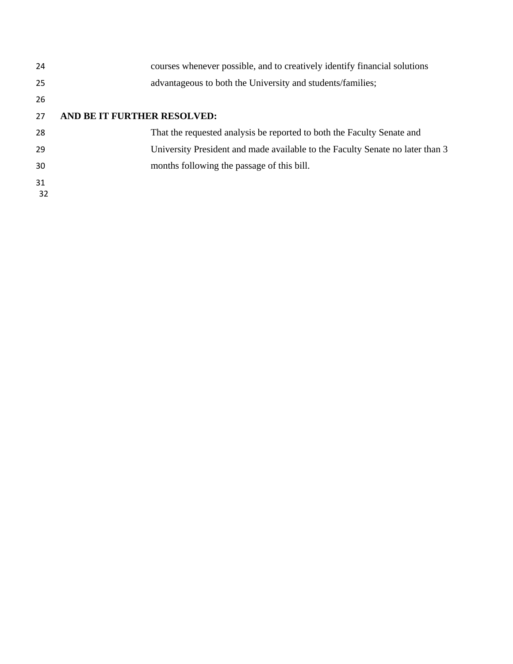| 24       | courses whenever possible, and to creatively identify financial solutions     |
|----------|-------------------------------------------------------------------------------|
| 25       | advantageous to both the University and students/families;                    |
| 26       |                                                                               |
| 27       | AND BE IT FURTHER RESOLVED:                                                   |
| 28       | That the requested analysis be reported to both the Faculty Senate and        |
| 29       | University President and made available to the Faculty Senate no later than 3 |
| 30       | months following the passage of this bill.                                    |
| 31<br>32 |                                                                               |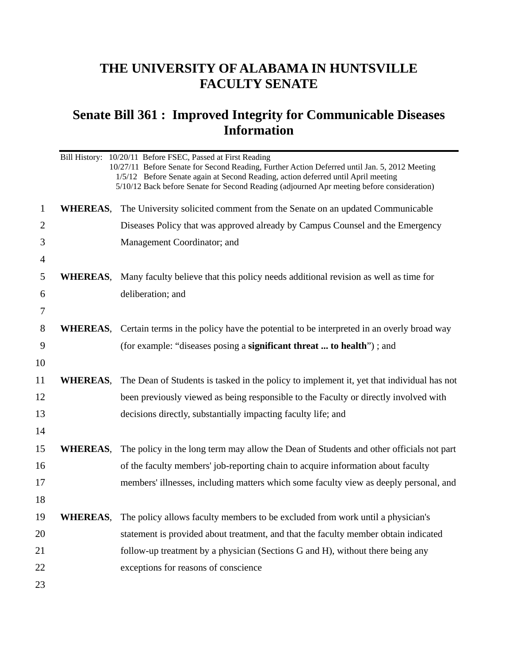## **THE UNIVERSITY OF ALABAMA IN HUNTSVILLE FACULTY SENATE**

## **Senate Bill 361 : Improved Integrity for Communicable Diseases Information**

|                |                 | Bill History: 10/20/11 Before FSEC, Passed at First Reading<br>10/27/11 Before Senate for Second Reading, Further Action Deferred until Jan. 5, 2012 Meeting<br>1/5/12 Before Senate again at Second Reading, action deferred until April meeting<br>5/10/12 Back before Senate for Second Reading (adjourned Apr meeting before consideration) |
|----------------|-----------------|-------------------------------------------------------------------------------------------------------------------------------------------------------------------------------------------------------------------------------------------------------------------------------------------------------------------------------------------------|
| $\mathbf{1}$   | <b>WHEREAS,</b> | The University solicited comment from the Senate on an updated Communicable                                                                                                                                                                                                                                                                     |
| $\overline{2}$ |                 | Diseases Policy that was approved already by Campus Counsel and the Emergency                                                                                                                                                                                                                                                                   |
| 3              |                 | Management Coordinator; and                                                                                                                                                                                                                                                                                                                     |
| $\overline{4}$ |                 |                                                                                                                                                                                                                                                                                                                                                 |
| 5              | WHEREAS,        | Many faculty believe that this policy needs additional revision as well as time for                                                                                                                                                                                                                                                             |
| 6              |                 | deliberation; and                                                                                                                                                                                                                                                                                                                               |
| 7              |                 |                                                                                                                                                                                                                                                                                                                                                 |
| 8              |                 | <b>WHEREAS</b> , Certain terms in the policy have the potential to be interpreted in an overly broad way                                                                                                                                                                                                                                        |
| 9              |                 | (for example: "diseases posing a <b>significant threat  to health</b> "); and                                                                                                                                                                                                                                                                   |
| 10             |                 |                                                                                                                                                                                                                                                                                                                                                 |
| 11             |                 | <b>WHEREAS</b> , The Dean of Students is tasked in the policy to implement it, yet that individual has not                                                                                                                                                                                                                                      |
| 12             |                 | been previously viewed as being responsible to the Faculty or directly involved with                                                                                                                                                                                                                                                            |
| 13             |                 | decisions directly, substantially impacting faculty life; and                                                                                                                                                                                                                                                                                   |
| 14             |                 |                                                                                                                                                                                                                                                                                                                                                 |
| 15             | <b>WHEREAS,</b> | The policy in the long term may allow the Dean of Students and other officials not part                                                                                                                                                                                                                                                         |
| 16             |                 | of the faculty members' job-reporting chain to acquire information about faculty                                                                                                                                                                                                                                                                |
| 17             |                 | members' illnesses, including matters which some faculty view as deeply personal, and                                                                                                                                                                                                                                                           |
| 18             |                 |                                                                                                                                                                                                                                                                                                                                                 |
| 19             |                 | <b>WHEREAS</b> , The policy allows faculty members to be excluded from work until a physician's                                                                                                                                                                                                                                                 |
| 20             |                 | statement is provided about treatment, and that the faculty member obtain indicated                                                                                                                                                                                                                                                             |
| 21             |                 | follow-up treatment by a physician (Sections G and H), without there being any                                                                                                                                                                                                                                                                  |
| 22             |                 | exceptions for reasons of conscience                                                                                                                                                                                                                                                                                                            |
| 23             |                 |                                                                                                                                                                                                                                                                                                                                                 |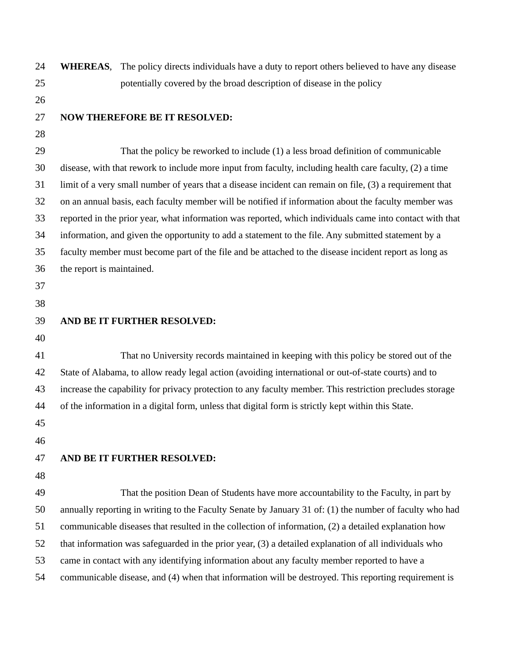| 24 | <b>WHEREAS,</b>           | The policy directs individuals have a duty to report others believed to have any disease                 |
|----|---------------------------|----------------------------------------------------------------------------------------------------------|
| 25 |                           | potentially covered by the broad description of disease in the policy                                    |
| 26 |                           |                                                                                                          |
| 27 |                           | <b>NOW THEREFORE BE IT RESOLVED:</b>                                                                     |
| 28 |                           |                                                                                                          |
| 29 |                           | That the policy be reworked to include (1) a less broad definition of communicable                       |
| 30 |                           | disease, with that rework to include more input from faculty, including health care faculty, (2) a time  |
| 31 |                           | limit of a very small number of years that a disease incident can remain on file, (3) a requirement that |
| 32 |                           | on an annual basis, each faculty member will be notified if information about the faculty member was     |
| 33 |                           | reported in the prior year, what information was reported, which individuals came into contact with that |
| 34 |                           | information, and given the opportunity to add a statement to the file. Any submitted statement by a      |
| 35 |                           | faculty member must become part of the file and be attached to the disease incident report as long as    |
| 36 | the report is maintained. |                                                                                                          |
| 37 |                           |                                                                                                          |
| 38 |                           |                                                                                                          |
| 39 |                           | AND BE IT FURTHER RESOLVED:                                                                              |
| 40 |                           |                                                                                                          |
| 41 |                           | That no University records maintained in keeping with this policy be stored out of the                   |
| 42 |                           | State of Alabama, to allow ready legal action (avoiding international or out-of-state courts) and to     |
| 43 |                           | increase the capability for privacy protection to any faculty member. This restriction precludes storage |
| 44 |                           | of the information in a digital form, unless that digital form is strictly kept within this State.       |
| 45 |                           |                                                                                                          |
| 46 |                           |                                                                                                          |
| 47 |                           | AND BE IT FURTHER RESOLVED:                                                                              |
| 48 |                           |                                                                                                          |
| 49 |                           | That the position Dean of Students have more accountability to the Faculty, in part by                   |
| 50 |                           | annually reporting in writing to the Faculty Senate by January 31 of: (1) the number of faculty who had  |
| 51 |                           | communicable diseases that resulted in the collection of information, (2) a detailed explanation how     |
| 52 |                           | that information was safeguarded in the prior year, (3) a detailed explanation of all individuals who    |
| 53 |                           | came in contact with any identifying information about any faculty member reported to have a             |
| 54 |                           | communicable disease, and (4) when that information will be destroyed. This reporting requirement is     |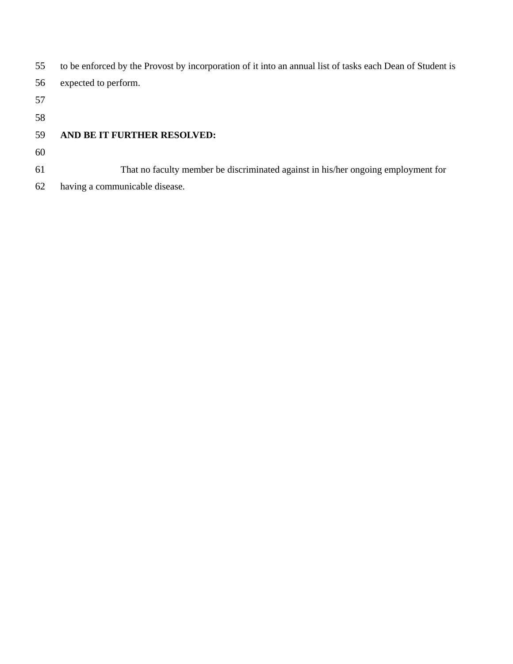| 55 | to be enforced by the Provost by incorporation of it into an annual list of tasks each Dean of Student is |
|----|-----------------------------------------------------------------------------------------------------------|
| 56 | expected to perform.                                                                                      |
| 57 |                                                                                                           |
| 58 |                                                                                                           |
| 59 | AND BE IT FURTHER RESOLVED:                                                                               |
| 60 |                                                                                                           |
| 61 | That no faculty member be discriminated against in his/her ongoing employment for                         |
| 62 | having a communicable disease.                                                                            |
|    |                                                                                                           |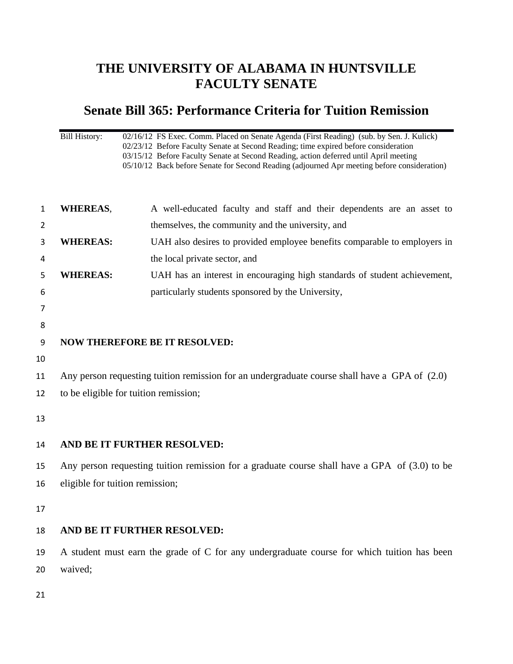## **THE UNIVERSITY OF ALABAMA IN HUNTSVILLE FACULTY SENATE**

### **Senate Bill 365: Performance Criteria for Tuition Remission**

Bill History: 02/16/12 FS Exec. Comm. Placed on Senate Agenda (First Reading) (sub. by Sen. J. Kulick) 02/23/12 Before Faculty Senate at Second Reading; time expired before consideration 03/15/12 Before Faculty Senate at Second Reading, action deferred until April meeting 05/10/12 Back before Senate for Second Reading (adjourned Apr meeting before consideration)

| $\mathbf{1}$ | <b>WHEREAS,</b>                       | A well-educated faculty and staff and their dependents are an asset to                        |
|--------------|---------------------------------------|-----------------------------------------------------------------------------------------------|
| 2            |                                       | themselves, the community and the university, and                                             |
|              |                                       |                                                                                               |
| 3            | <b>WHEREAS:</b>                       | UAH also desires to provided employee benefits comparable to employers in                     |
| 4            |                                       | the local private sector, and                                                                 |
| 5            | <b>WHEREAS:</b>                       | UAH has an interest in encouraging high standards of student achievement,                     |
| 6            |                                       | particularly students sponsored by the University,                                            |
| 7            |                                       |                                                                                               |
| 8            |                                       |                                                                                               |
| 9            |                                       | <b>NOW THEREFORE BE IT RESOLVED:</b>                                                          |
| 10           |                                       |                                                                                               |
| 11           |                                       | Any person requesting tuition remission for an undergraduate course shall have a GPA of (2.0) |
|              |                                       |                                                                                               |
| 12           | to be eligible for tuition remission; |                                                                                               |
| 13           |                                       |                                                                                               |
|              |                                       |                                                                                               |
| 14           | AND BE IT FURTHER RESOLVED:           |                                                                                               |
| 15           |                                       | Any person requesting tuition remission for a graduate course shall have a GPA of (3.0) to be |
| 16           | eligible for tuition remission;       |                                                                                               |
|              |                                       |                                                                                               |
| 17           |                                       |                                                                                               |
| 18           | AND BE IT FURTHER RESOLVED:           |                                                                                               |
| 19           |                                       | A student must earn the grade of C for any undergraduate course for which tuition has been    |
| 20           | waived;                               |                                                                                               |
|              |                                       |                                                                                               |
|              |                                       |                                                                                               |

21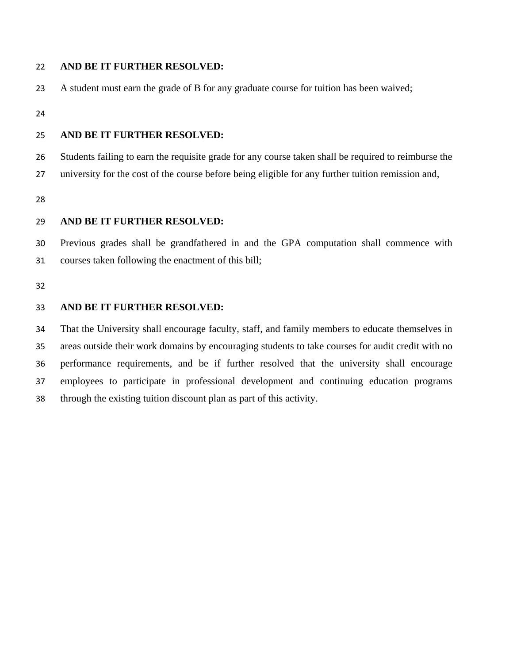### 22 **AND BE IT FURTHER RESOLVED:**

23 A student must earn the grade of B for any graduate course for tuition has been waived;

24

#### 25 **AND BE IT FURTHER RESOLVED:**

26 Students failing to earn the requisite grade for any course taken shall be required to reimburse the

27 university for the cost of the course before being eligible for any further tuition remission and,

28

#### 29 **AND BE IT FURTHER RESOLVED:**

30 31 Previous grades shall be grandfathered in and the GPA computation shall commence with courses taken following the enactment of this bill;

32

#### 33 **AND BE IT FURTHER RESOLVED:**

34 35 36 37 38 That the University shall encourage faculty, staff, and family members to educate themselves in areas outside their work domains by encouraging students to take courses for audit credit with no performance requirements, and be if further resolved that the university shall encourage employees to participate in professional development and continuing education programs through the existing tuition discount plan as part of this activity.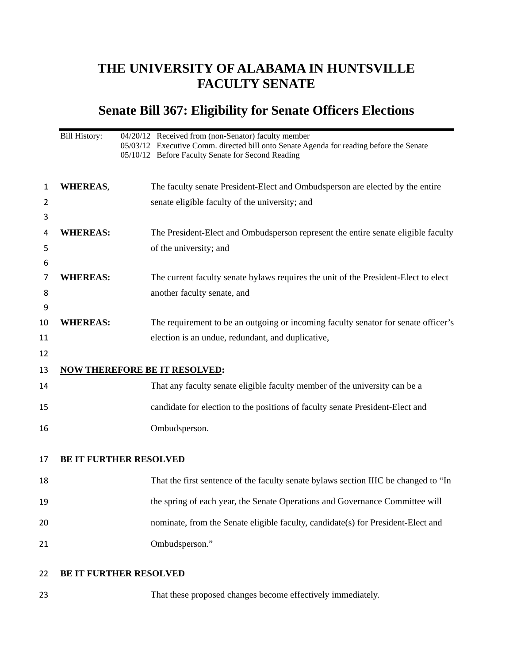## **THE UNIVERSITY OF ALABAMA IN HUNTSVILLE FACULTY SENATE**

# **Senate Bill 367: Eligibility for Senate Officers Elections**

|         | <b>Bill History:</b> | 04/20/12 Received from (non-Senator) faculty member<br>05/03/12 Executive Comm. directed bill onto Senate Agenda for reading before the Senate<br>05/10/12 Before Faculty Senate for Second Reading |
|---------|----------------------|-----------------------------------------------------------------------------------------------------------------------------------------------------------------------------------------------------|
| 1       | <b>WHEREAS,</b>      | The faculty senate President-Elect and Ombudsperson are elected by the entire                                                                                                                       |
| 2       |                      | senate eligible faculty of the university; and                                                                                                                                                      |
| 3       |                      |                                                                                                                                                                                                     |
| 4       | <b>WHEREAS:</b>      | The President-Elect and Ombudsperson represent the entire senate eligible faculty                                                                                                                   |
| 5       |                      | of the university; and                                                                                                                                                                              |
| 6<br>7  | <b>WHEREAS:</b>      | The current faculty senate bylaws requires the unit of the President-Elect to elect                                                                                                                 |
| 8       |                      | another faculty senate, and                                                                                                                                                                         |
| 9<br>10 | <b>WHEREAS:</b>      | The requirement to be an outgoing or incoming faculty senator for senate officer's                                                                                                                  |
| 11      |                      | election is an undue, redundant, and duplicative,                                                                                                                                                   |
| 12      |                      |                                                                                                                                                                                                     |
| 13      |                      | <b>NOW THEREFORE BE IT RESOLVED:</b>                                                                                                                                                                |
| 14      |                      | That any faculty senate eligible faculty member of the university can be a                                                                                                                          |
| 15      |                      | candidate for election to the positions of faculty senate President-Elect and                                                                                                                       |
| 16      |                      | Ombudsperson.                                                                                                                                                                                       |
| 17      |                      | <b>BE IT FURTHER RESOLVED</b>                                                                                                                                                                       |
| 18      |                      | That the first sentence of the faculty senate bylaws section IIIC be changed to "In                                                                                                                 |
| 19      |                      | the spring of each year, the Senate Operations and Governance Committee will                                                                                                                        |
| 20      |                      | nominate, from the Senate eligible faculty, candidate(s) for President-Elect and                                                                                                                    |
| 21      |                      | Ombudsperson."                                                                                                                                                                                      |
| 22      |                      | <b>BE IT FURTHER RESOLVED</b>                                                                                                                                                                       |
| 23      |                      | That these proposed changes become effectively immediately.                                                                                                                                         |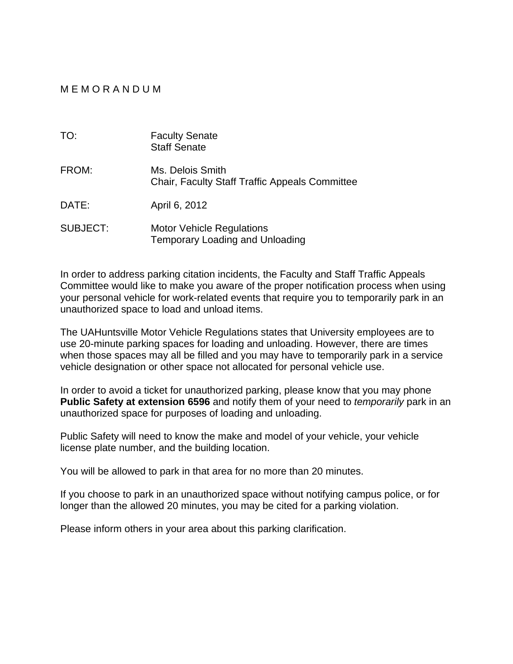### M E M O R A N D U M

| TO:             | <b>Faculty Senate</b><br><b>Staff Senate</b>                               |
|-----------------|----------------------------------------------------------------------------|
| FROM:           | Ms. Delois Smith<br><b>Chair, Faculty Staff Traffic Appeals Committee</b>  |
| DATE:           | April 6, 2012                                                              |
| <b>SUBJECT:</b> | <b>Motor Vehicle Regulations</b><br><b>Temporary Loading and Unloading</b> |

In order to address parking citation incidents, the Faculty and Staff Traffic Appeals Committee would like to make you aware of the proper notification process when using your personal vehicle for work-related events that require you to temporarily park in an unauthorized space to load and unload items.

The UAHuntsville Motor Vehicle Regulations states that University employees are to use 20-minute parking spaces for loading and unloading. However, there are times when those spaces may all be filled and you may have to temporarily park in a service vehicle designation or other space not allocated for personal vehicle use.

In order to avoid a ticket for unauthorized parking, please know that you may phone **Public Safety at extension 6596** and notify them of your need to *temporarily* park in an unauthorized space for purposes of loading and unloading.

Public Safety will need to know the make and model of your vehicle, your vehicle license plate number, and the building location.

You will be allowed to park in that area for no more than 20 minutes.

If you choose to park in an unauthorized space without notifying campus police, or for longer than the allowed 20 minutes, you may be cited for a parking violation.

Please inform others in your area about this parking clarification.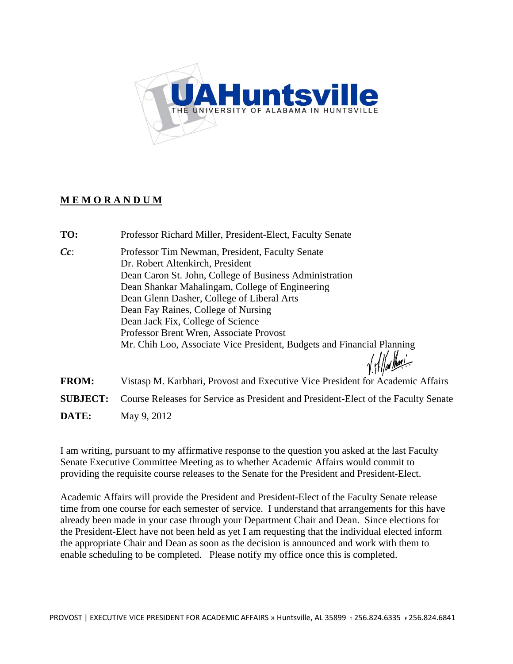

### **M E M O R A N D U M**

- **TO:** Professor Richard Miller, President-Elect, Faculty Senate
- *Cc*: Professor Tim Newman, President, Faculty Senate Dr. Robert Altenkirch, President Dean Caron St. John, College of Business Administration Dean Shankar Mahalingam, College of Engineering Dean Glenn Dasher, College of Liberal Arts Dean Fay Raines, College of Nursing Dean Jack Fix, College of Science Professor Brent Wren, Associate Provost Mr. Chih Loo, Associate Vice President, Budgets and Financial Planning

**FROM:** Vistasp M. Karbhari, Provost and Executive Vice President for Academic Affairs **SUBJECT:** Course Releases for Service as President and President-Elect of the Faculty Senate **DATE:** May 9, 2012

I am writing, pursuant to my affirmative response to the question you asked at the last Faculty Senate Executive Committee Meeting as to whether Academic Affairs would commit to providing the requisite course releases to the Senate for the President and President-Elect.

Academic Affairs will provide the President and President-Elect of the Faculty Senate release time from one course for each semester of service. I understand that arrangements for this have already been made in your case through your Department Chair and Dean. Since elections for the President-Elect have not been held as yet I am requesting that the individual elected inform the appropriate Chair and Dean as soon as the decision is announced and work with them to enable scheduling to be completed. Please notify my office once this is completed.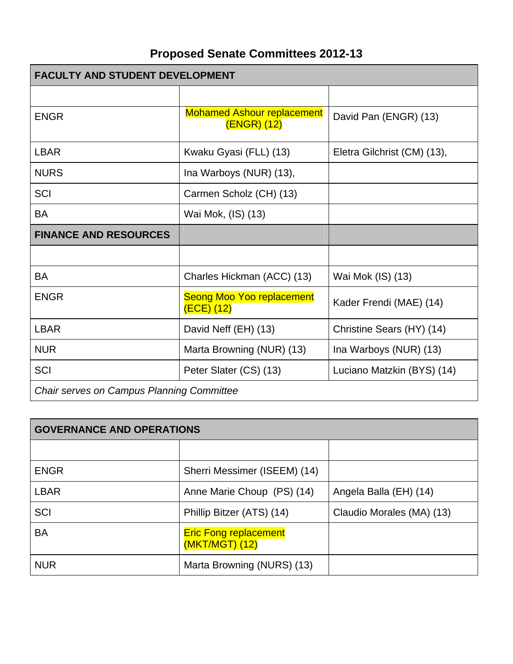# **Proposed Senate Committees 2012-13**

| <b>FACULTY AND STUDENT DEVELOPMENT</b>           |                                                  |                             |
|--------------------------------------------------|--------------------------------------------------|-----------------------------|
|                                                  |                                                  |                             |
| <b>ENGR</b>                                      | <b>Mohamed Ashour replacement</b><br>(ENGR) (12) | David Pan (ENGR) (13)       |
| <b>LBAR</b>                                      | Kwaku Gyasi (FLL) (13)                           | Eletra Gilchrist (CM) (13), |
| <b>NURS</b>                                      | Ina Warboys (NUR) (13),                          |                             |
| SCI                                              | Carmen Scholz (CH) (13)                          |                             |
| <b>BA</b>                                        | Wai Mok, (IS) (13)                               |                             |
| <b>FINANCE AND RESOURCES</b>                     |                                                  |                             |
|                                                  |                                                  |                             |
| <b>BA</b>                                        | Charles Hickman (ACC) (13)                       | Wai Mok (IS) (13)           |
| <b>ENGR</b>                                      | <b>Seong Moo Yoo replacement</b><br>$(ECE)$ (12) | Kader Frendi (MAE) (14)     |
| <b>LBAR</b>                                      | David Neff (EH) (13)                             | Christine Sears (HY) (14)   |
| <b>NUR</b>                                       | Marta Browning (NUR) (13)                        | Ina Warboys (NUR) (13)      |
| SCI                                              | Peter Slater (CS) (13)                           | Luciano Matzkin (BYS) (14)  |
| <b>Chair serves on Campus Planning Committee</b> |                                                  |                             |

| <b>GOVERNANCE AND OPERATIONS</b> |                                                |                           |
|----------------------------------|------------------------------------------------|---------------------------|
|                                  |                                                |                           |
| <b>ENGR</b>                      | Sherri Messimer (ISEEM) (14)                   |                           |
| <b>LBAR</b>                      | Anne Marie Choup (PS) (14)                     | Angela Balla (EH) (14)    |
| <b>SCI</b>                       | Phillip Bitzer (ATS) (14)                      | Claudio Morales (MA) (13) |
| <b>BA</b>                        | <b>Eric Fong replacement</b><br>(MKT/MGT) (12) |                           |
| <b>NUR</b>                       | Marta Browning (NURS) (13)                     |                           |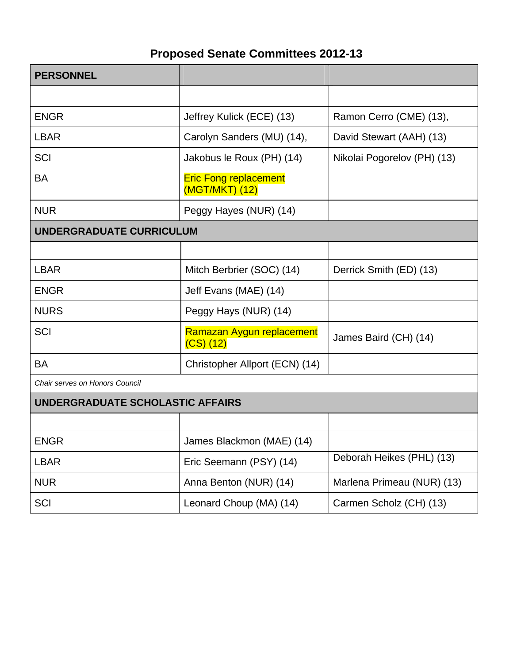# **Proposed Senate Committees 2012-13**

| <b>PERSONNEL</b>                 |                                                |                             |
|----------------------------------|------------------------------------------------|-----------------------------|
|                                  |                                                |                             |
| <b>ENGR</b>                      | Jeffrey Kulick (ECE) (13)                      | Ramon Cerro (CME) (13),     |
| <b>LBAR</b>                      | Carolyn Sanders (MU) (14),                     | David Stewart (AAH) (13)    |
| <b>SCI</b>                       | Jakobus le Roux (PH) (14)                      | Nikolai Pogorelov (PH) (13) |
| <b>BA</b>                        | <b>Eric Fong replacement</b><br>(MGT/MKT) (12) |                             |
| <b>NUR</b>                       | Peggy Hayes (NUR) (14)                         |                             |
| UNDERGRADUATE CURRICULUM         |                                                |                             |
|                                  |                                                |                             |
| <b>LBAR</b>                      | Mitch Berbrier (SOC) (14)                      | Derrick Smith (ED) (13)     |
| <b>ENGR</b>                      | Jeff Evans (MAE) (14)                          |                             |
| <b>NURS</b>                      | Peggy Hays (NUR) (14)                          |                             |
| <b>SCI</b>                       | Ramazan Aygun replacement<br>$(CS)$ $(12)$     | James Baird (CH) (14)       |
| BA                               | Christopher Allport (ECN) (14)                 |                             |
| Chair serves on Honors Council   |                                                |                             |
| UNDERGRADUATE SCHOLASTIC AFFAIRS |                                                |                             |
|                                  |                                                |                             |
| <b>ENGR</b>                      | James Blackmon (MAE) (14)                      |                             |
| <b>LBAR</b>                      | Eric Seemann (PSY) (14)                        | Deborah Heikes (PHL) (13)   |
| <b>NUR</b>                       | Anna Benton (NUR) (14)                         | Marlena Primeau (NUR) (13)  |
| SCI                              | Leonard Choup (MA) (14)                        | Carmen Scholz (CH) (13)     |